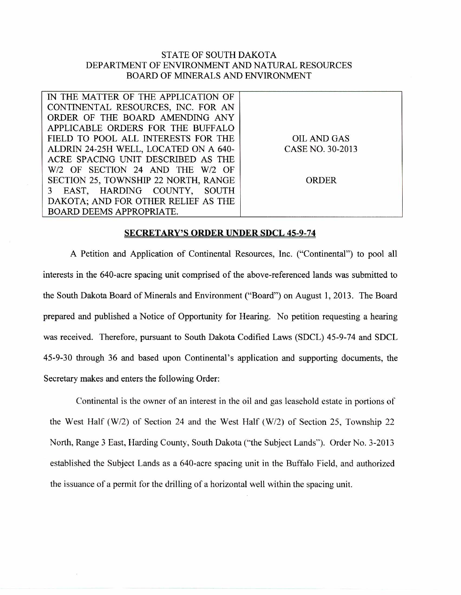## STATE OF SOUTH DAKOTA DEPARTMENT OF ENVIRONMENT AND NATURAL RESOURCES BOARD OF MINERALS AND ENVIRONMENT

| IN THE MATTER OF THE APPLICATION OF   |                  |
|---------------------------------------|------------------|
| CONTINENTAL RESOURCES, INC. FOR AN    |                  |
| ORDER OF THE BOARD AMENDING ANY       |                  |
| APPLICABLE ORDERS FOR THE BUFFALO     |                  |
| FIELD TO POOL ALL INTERESTS FOR THE   | OIL AND GAS      |
| ALDRIN 24-25H WELL, LOCATED ON A 640- | CASE NO. 30-2013 |
| ACRE SPACING UNIT DESCRIBED AS THE    |                  |
| W/2 OF SECTION 24 AND THE W/2 OF      |                  |
| SECTION 25, TOWNSHIP 22 NORTH, RANGE  | <b>ORDER</b>     |
| 3 EAST, HARDING COUNTY, SOUTH         |                  |
| DAKOTA; AND FOR OTHER RELIEF AS THE   |                  |
| <b>BOARD DEEMS APPROPRIATE.</b>       |                  |

## **SECRETARY'S ORDER UNDER SDCL 45-9-74**

A Petition and Application of Continental Resources, Inc. ("Continental") to pool all interests in the 640-acre spacing unit comprised of the above-referenced lands was submitted to the South Dakota Board of Minerals and Environment ("Board") on August 1, 2013. The Board prepared and published a Notice of Opportunity for Hearing. No petition requesting a hearing was received. Therefore, pursuant to South Dakota Codified Laws (SDCL) 45-9-74 and SDCL 45-9-30 through 36 and based upon Continental's application and supporting documents, the Secretary makes and enters the following Order:

Continental is the owner of an interest in the oil and gas leasehold estate in portions of the West Half (W/2) of Section 24 and the West Half (W/2) of Section 25, Township 22 North, Range 3 East, Harding County, South Dakota ("the Subject Lands"). Order No. 3-2013 established the Subject Lands as a 640-acre spacing unit in the Buffalo Field, and authorized the issuance of a permit for the drilling of a horizontal well within the spacing unit.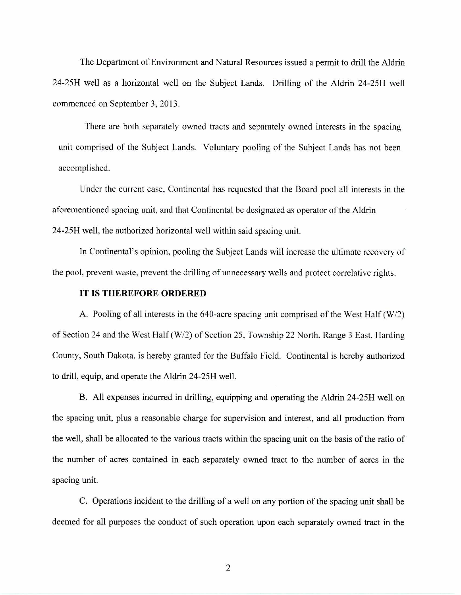The Department of Environment and Natural Resources issued a permit to drill the Aldrin 24-25H well as a horizontal well on the Subject Lands. Drilling of the Aldrin 24-25H well commenced on September 3, 2013.

There are both separately owned tracts and separately owned interests in the spacing unit comprised of the Subject Lands. Voluntary pooling of the Subject Lands has not been accomplished.

Under the current case, Continental has requested that the Board pool all interests in the aforementioned spacing unit, and that Continental be designated as operator of the Aldrin 24-25H well, the authorized horizontal well within said spacing unit.

In Continental's opinion, pooling the Subject Lands will increase the ultimate recovery of the pool, prevent waste, prevent the drilling of unnecessary wells and protect correlative rights.

## IT IS THEREFORE ORDERED

A. Pooling of all interests in the 640-acre spacing unit comprised of the West Half (W/2) of Section 24 and the West Half (W/2) of Section 25, Township 22 North, Range 3 East, Harding County, South Dakota, is hereby granted for the Buffalo Field. Continental is hereby authorized to drill, equip, and operate the Aldrin 24-25H well.

B. All expenses incurred in drilling, equipping and operating the Aldrin 24-25H well on the spacing unit, plus a reasonable charge for supervision and interest, and all production from the well, shall be allocated to the various tracts within the spacing unit on the basis of the ratio of the number of acres contained in each separately owned tract to the number of acres in the spacing unit.

C. Operations incident to the drilling of a well on any portion of the spacing unit shall be deemed for all purposes the conduct of such operation upon each separately owned tract in the

2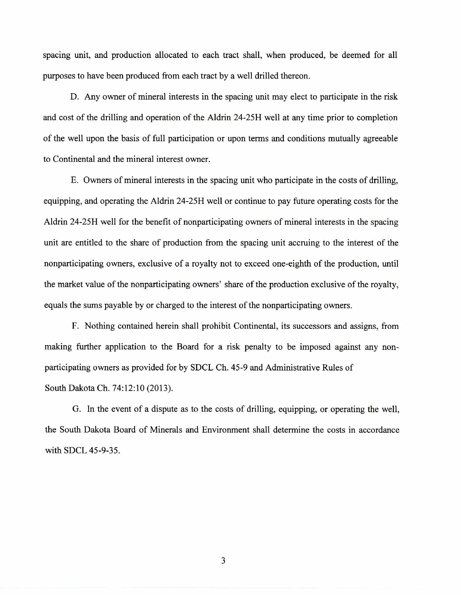spacing unit, and production allocated to each tract shall, when produced, be deemed for all purposes to have been produced from each tract by a well drilled thereon.

D. Any owner of mineral interests in the spacing unit may elect to participate in the risk and cost of the drilling and operation of the Aldrin 24-2511 well at any time prior to completion of the well upon the basis of full participation or upon terms and conditions mutually agreeable to Continental and the mineral interest owner.

E. Owners of mineral interests in the spacing unit who participate in the costs of drilling, equipping, and operating the Aldrin 24-25H well or continue to pay future operating costs for the Aldrin 24-25H well for the benefit of nonparticipating owners of mineral interests in the spacing unit are entitled to the share of production from the spacing unit accruing to the interest of the nonparticipating owners, exclusive of a royalty not to exceed one-eighth of the production, until the market value of the nonparticipating owners' share of the production exclusive of the royalty, equals the sums payable by or charged to the interest of the nonparticipating owners.

F. Nothing contained herein shall prohibit Continental, its successors and assigns, from making further application to the Board for a risk penalty to be imposed against any nonparticipating owners as provided for by SDCL Ch. 45-9 and Administrative Rules of South Dakota Ch. 74:12:10 (2013).

G. In the event of a dispute as to the costs of drilling, equipping, or operating the well, the South Dakota Board of Minerals and Environment shall determine the costs in accordance with SDCL 45-9-35.

3